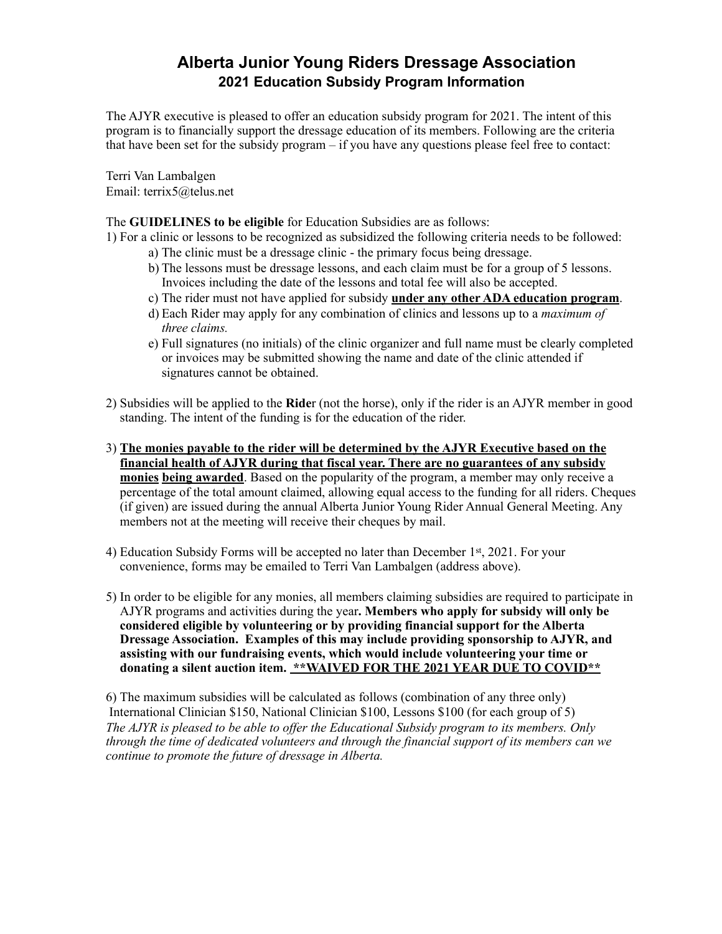## **Alberta Junior Young Riders Dressage Association 2021 Education Subsidy Program Information**

The AJYR executive is pleased to offer an education subsidy program for 2021. The intent of this program is to financially support the dressage education of its members. Following are the criteria that have been set for the subsidy program – if you have any questions please feel free to contact:

Terri Van Lambalgen Email: terrix5@telus.net

## The **GUIDELINES to be eligible** for Education Subsidies are as follows:

1) For a clinic or lessons to be recognized as subsidized the following criteria needs to be followed:

- a) The clinic must be a dressage clinic the primary focus being dressage.
- b) The lessons must be dressage lessons, and each claim must be for a group of 5 lessons. Invoices including the date of the lessons and total fee will also be accepted.
- c) The rider must not have applied for subsidy **under any other ADA education program**.
- d) Each Rider may apply for any combination of clinics and lessons up to a *maximum of three claims.*
- e) Full signatures (no initials) of the clinic organizer and full name must be clearly completed or invoices may be submitted showing the name and date of the clinic attended if signatures cannot be obtained.
- 2) Subsidies will be applied to the **Ride**r (not the horse), only if the rider is an AJYR member in good standing. The intent of the funding is for the education of the rider.
- 3) **The monies payable to the rider will be determined by the AJYR Executive based on the financial health of AJYR during that fiscal year. There are no guarantees of any subsidy monies being awarded**. Based on the popularity of the program, a member may only receive a percentage of the total amount claimed, allowing equal access to the funding for all riders. Cheques (if given) are issued during the annual Alberta Junior Young Rider Annual General Meeting. Any members not at the meeting will receive their cheques by mail.
- 4) Education Subsidy Forms will be accepted no later than December  $1<sup>st</sup>$ , 2021. For your convenience, forms may be emailed to Terri Van Lambalgen (address above).
- 5) In order to be eligible for any monies, all members claiming subsidies are required to participate in AJYR programs and activities during the year**. Members who apply for subsidy will only be considered eligible by volunteering or by providing financial support for the Alberta Dressage Association. Examples of this may include providing sponsorship to AJYR, and assisting with our fundraising events, which would include volunteering your time or donating a silent auction item. \*\*WAIVED FOR THE 2021 YEAR DUE TO COVID\*\***

6) The maximum subsidies will be calculated as follows (combination of any three only) International Clinician \$150, National Clinician \$100, Lessons \$100 (for each group of 5) *The AJYR is pleased to be able to offer the Educational Subsidy program to its members. Only through the time of dedicated volunteers and through the financial support of its members can we continue to promote the future of dressage in Alberta.*